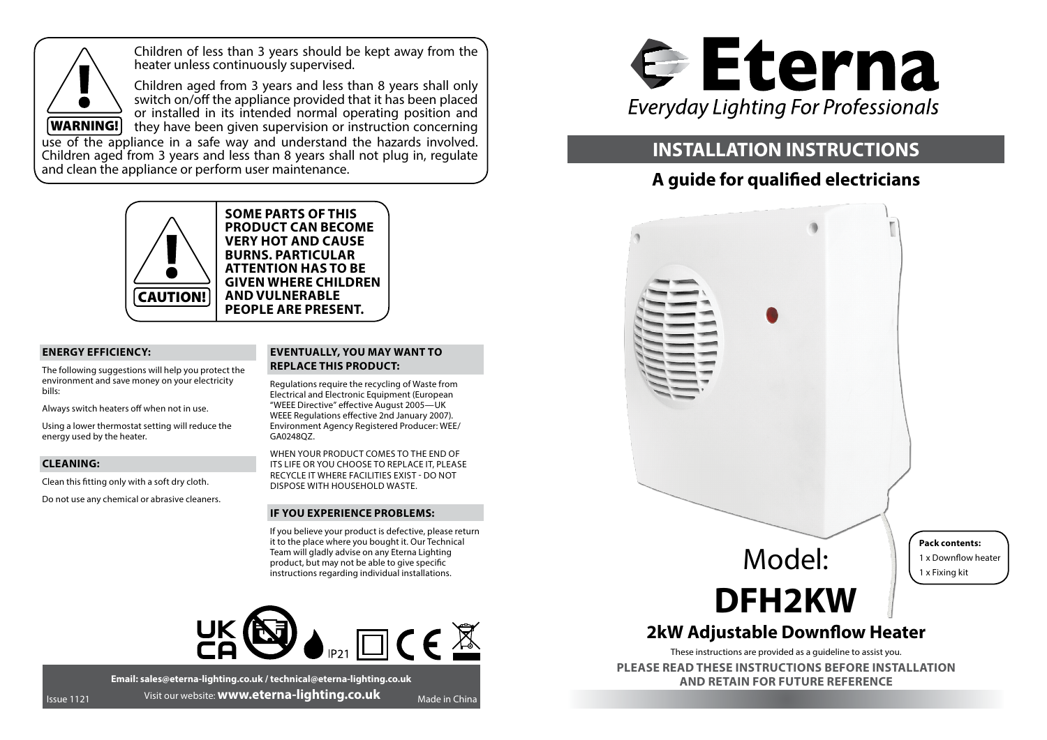

Children of less than 3 years should be kept away from the heater unless continuously supervised.

Children aged from 3 years and less than 8 years shall only switch on/off the appliance provided that it has been placed or installed in its intended normal operating position and they have been given supervision or instruction concerning

use of the appliance in a safe way and understand the hazards involved. Children aged from 3 years and less than 8 years shall not plug in, regulate and clean the appliance or perform user maintenance.



**SOME PARTS OF THIS PRODUCT CAN BECOME VERY HOT AND CAUSE BURNS. PARTICULAR ATTENTION HAS TO BE GIVEN WHERE CHILDREN AND VULNERABLE PEOPLE ARE PRESENT.**

### **ENERGY EFFICIENCY:**

The following suggestions will help you protect the environment and save money on your electricity bills:

Always switch heaters off when not in use.

Using a lower thermostat setting will reduce the energy used by the heater.

### **CLEANING:**

Clean this fitting only with a soft dry cloth.

Do not use any chemical or abrasive cleaners.

## **EVENTUALLY, YOU MAY WANT TO REPLACE THIS PRODUCT:**

Regulations require the recycling of Waste from Electrical and Electronic Equipment (European "WEEE Directive" effective August 2005—UK WEEE Regulations effective 2nd January 2007). Environment Agency Registered Producer: WEE/ GA0248QZ.

WHEN YOUR PRODUCT COMES TO THE END OF ITS LIFE OR YOU CHOOSE TO REPLACE IT, PLEASE RECYCLE IT WHERE FACILITIES EXIST - DO NOT DISPOSE WITH HOUSEHOLD WASTE.

### **IF YOU EXPERIENCE PROBLEMS:**

If you believe your product is defective, please return it to the place where you bought it. Our Technical Team will gladly advise on any Eterna Lighting product, but may not be able to give specific instructions regarding individual installations.



**Email: sales@eterna-lighting.co.uk / technical@eterna-lighting.co.uk** Issue 1121 Visit our website: **www.eterna-lighting.co.uk** Made in China



# **INSTALLATION INSTRUCTIONS**

# **A guide for qualified electricians**



These instructions are provided as a guideline to assist you.

**PLEASE READ THESE INSTRUCTIONS BEFORE INSTALLATION AND RETAIN FOR FUTURE REFERENCE**